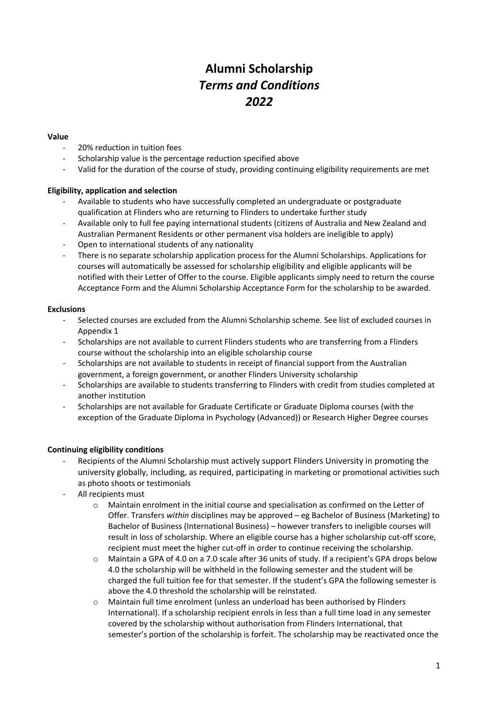# **Alumni Scholarship** *Terms and Conditions 2022*

### **Value**

- 20% reduction in tuition fees
- Scholarship value is the percentage reduction specified above
- Valid for the duration of the course of study, providing continuing eligibility requirements are met

## **Eligibility, application and selection**

- Available to students who have successfully completed an undergraduate or postgraduate qualification at Flinders who are returning to Flinders to undertake further study
- Available only to full fee paying international students (citizens of Australia and New Zealand and Australian Permanent Residents or other permanent visa holders are ineligible to apply)
- Open to international students of any nationality
- There is no separate scholarship application process for the Alumni Scholarships. Applications for courses will automatically be assessed for scholarship eligibility and eligible applicants will be notified with their Letter of Offer to the course. Eligible applicants simply need to return the course Acceptance Form and the Alumni Scholarship Acceptance Form for the scholarship to be awarded.

## **Exclusions**

- Selected courses are excluded from the Alumni Scholarship scheme. See list of excluded courses in Appendix 1
- Scholarships are not available to current Flinders students who are transferring from a Flinders course without the scholarship into an eligible scholarship course
- Scholarships are not available to students in receipt of financial support from the Australian government, a foreign government, or another Flinders University scholarship
- Scholarships are available to students transferring to Flinders with credit from studies completed at another institution
- Scholarships are not available for Graduate Certificate or Graduate Diploma courses (with the exception of the Graduate Diploma in Psychology (Advanced)) or Research Higher Degree courses

## **Continuing eligibility conditions**

- Recipients of the Alumni Scholarship must actively support Flinders University in promoting the university globally, including, as required, participating in marketing or promotional activities such as photo shoots or testimonials
- All recipients must
	- o Maintain enrolment in the initial course and specialisation as confirmed on the Letter of Offer. Transfers *within* disciplines may be approved – eg Bachelor of Business (Marketing) to Bachelor of Business (International Business) – however transfers to ineligible courses will result in loss of scholarship. Where an eligible course has a higher scholarship cut-off score, recipient must meet the higher cut-off in order to continue receiving the scholarship.
	- o Maintain a GPA of 4.0 on a 7.0 scale after 36 units of study. If a recipient's GPA drops below 4.0 the scholarship will be withheld in the following semester and the student will be charged the full tuition fee for that semester. If the student's GPA the following semester is above the 4.0 threshold the scholarship will be reinstated.
	- Maintain full time enrolment (unless an underload has been authorised by Flinders International). If a scholarship recipient enrols in less than a full time load in any semester covered by the scholarship without authorisation from Flinders International, that semester's portion of the scholarship is forfeit. The scholarship may be reactivated once the